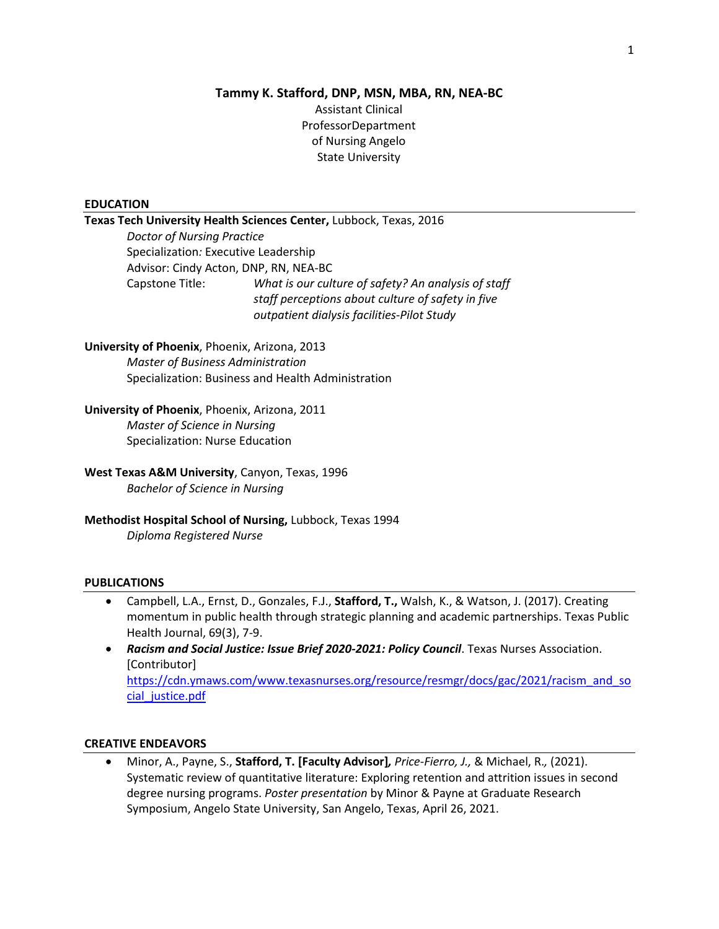# **Tammy K. Stafford, DNP, MSN, MBA, RN, NEA-BC** Assistant Clinical ProfessorDepartment of Nursing Angelo State University

#### **EDUCATION**

# **Texas Tech University Health Sciences Center,** Lubbock, Texas, 2016

*Doctor of Nursing Practice* Specialization*:* Executive Leadership Advisor: Cindy Acton, DNP, RN, NEA-BC Capstone Title: *What is our culture of safety? An analysis of staff staff perceptions about culture of safety in five outpatient dialysis facilities-Pilot Study* 

### **University of Phoenix**, Phoenix, Arizona, 2013 *Master of Business Administration* Specialization: Business and Health Administration

# **University of Phoenix**, Phoenix, Arizona, 2011 *Master of Science in Nursing*

Specialization: Nurse Education

## **West Texas A&M University**, Canyon, Texas, 1996 *Bachelor of Science in Nursing*

# **Methodist Hospital School of Nursing,** Lubbock, Texas 1994 *Diploma Registered Nurse*

#### **PUBLICATIONS**

- Campbell, L.A., Ernst, D., Gonzales, F.J., **Stafford, T.,** Walsh, K., & Watson, J. (2017). Creating momentum in public health through strategic planning and academic partnerships. Texas Public Health Journal, 69(3), 7-9.
- *Racism and Social Justice: Issue Brief 2020-2021: Policy Council*. Texas Nurses Association. [Contributor] [https://cdn.ymaws.com/www.texasnurses.org/resource/resmgr/docs/gac/2021/racism\\_and\\_so](https://cdn.ymaws.com/www.texasnurses.org/resource/resmgr/docs/gac/2021/racism_and_social_justice.pdf) [cial\\_justice.pdf](https://cdn.ymaws.com/www.texasnurses.org/resource/resmgr/docs/gac/2021/racism_and_social_justice.pdf)

#### **CREATIVE ENDEAVORS**

• Minor, A., Payne, S., **Stafford, T. [Faculty Advisor]***, Price-Fierro, J.,* & Michael, R.*,* (2021). Systematic review of quantitative literature: Exploring retention and attrition issues in second degree nursing programs. *Poster presentation* by Minor & Payne at Graduate Research Symposium, Angelo State University, San Angelo, Texas, April 26, 2021.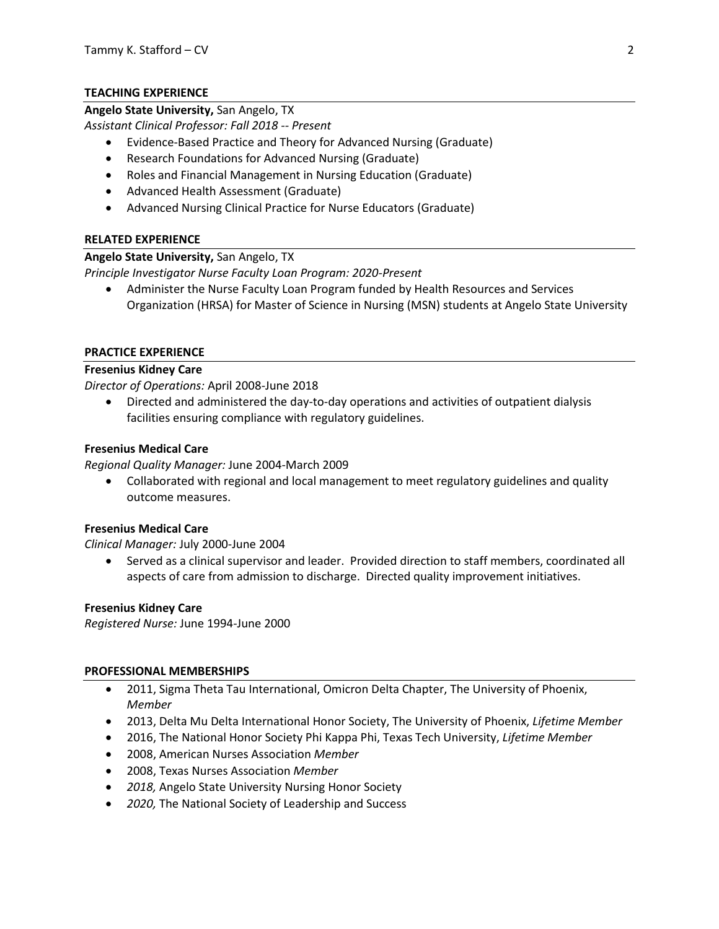## **TEACHING EXPERIENCE**

### **Angelo State University,** San Angelo, TX

*Assistant Clinical Professor: Fall 2018 -- Present*

- Evidence-Based Practice and Theory for Advanced Nursing (Graduate)
- Research Foundations for Advanced Nursing (Graduate)
- Roles and Financial Management in Nursing Education (Graduate)
- Advanced Health Assessment (Graduate)
- Advanced Nursing Clinical Practice for Nurse Educators (Graduate)

## **RELATED EXPERIENCE**

## **Angelo State University,** San Angelo, TX

*Principle Investigator Nurse Faculty Loan Program: 2020-Present*

• Administer the Nurse Faculty Loan Program funded by Health Resources and Services Organization (HRSA) for Master of Science in Nursing (MSN) students at Angelo State University

## **PRACTICE EXPERIENCE**

### **Fresenius Kidney Care**

*Director of Operations:* April 2008-June 2018

• Directed and administered the day-to-day operations and activities of outpatient dialysis facilities ensuring compliance with regulatory guidelines.

### **Fresenius Medical Care**

*Regional Quality Manager:* June 2004-March 2009

• Collaborated with regional and local management to meet regulatory guidelines and quality outcome measures.

## **Fresenius Medical Care**

*Clinical Manager:* July 2000-June 2004

• Served as a clinical supervisor and leader. Provided direction to staff members, coordinated all aspects of care from admission to discharge. Directed quality improvement initiatives.

#### **Fresenius Kidney Care**

*Registered Nurse:* June 1994-June 2000

#### **PROFESSIONAL MEMBERSHIPS**

- 2011, Sigma Theta Tau International, Omicron Delta Chapter, The University of Phoenix, *Member*
- 2013, Delta Mu Delta International Honor Society, The University of Phoenix, *Lifetime Member*
- 2016, The National Honor Society Phi Kappa Phi, Texas Tech University, *Lifetime Member*
- 2008, American Nurses Association *Member*
- 2008, Texas Nurses Association *Member*
- *2018,* Angelo State University Nursing Honor Society
- *2020,* The National Society of Leadership and Success